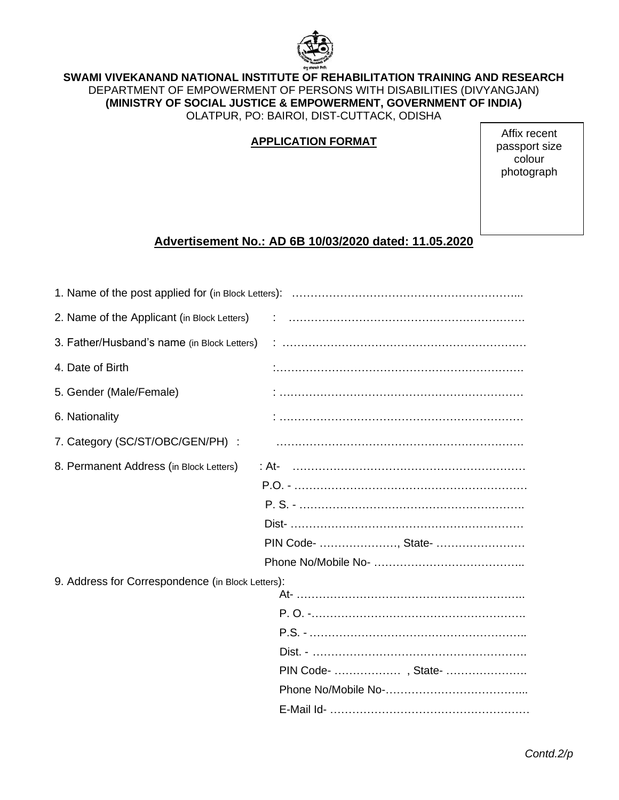

### **SWAMI VIVEKANAND NATIONAL INSTITUTE OF REHABILITATION TRAINING AND RESEARCH** DEPARTMENT OF EMPOWERMENT OF PERSONS WITH DISABILITIES (DIVYANGJAN) **(MINISTRY OF SOCIAL JUSTICE & EMPOWERMENT, GOVERNMENT OF INDIA)** OLATPUR, PO: BAIROI, DIST-CUTTACK, ODISHA

# **APPLICATION FORMAT**

Affix recent passport size colour photograph

# **Advertisement No.: AD 6B 10/03/2020 dated: 11.05.2020**

| 4. Date of Birth                                  |                     |
|---------------------------------------------------|---------------------|
| 5. Gender (Male/Female)                           |                     |
| 6. Nationality                                    |                     |
| 7. Category (SC/ST/OBC/GEN/PH) :                  |                     |
| 8. Permanent Address (in Block Letters)           |                     |
|                                                   |                     |
|                                                   |                     |
|                                                   |                     |
|                                                   | PIN Code- , State-  |
|                                                   |                     |
| 9. Address for Correspondence (in Block Letters): |                     |
|                                                   |                     |
|                                                   |                     |
|                                                   |                     |
|                                                   |                     |
|                                                   | PIN Code-  , State- |
|                                                   |                     |
|                                                   |                     |